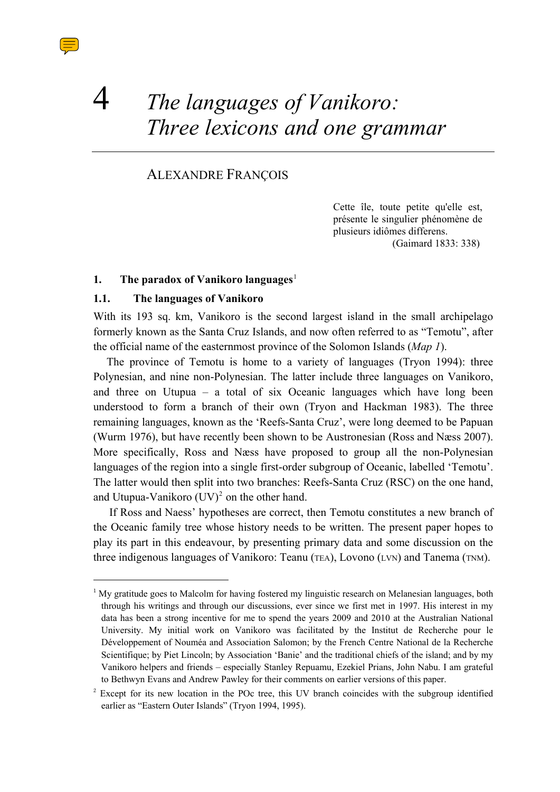# 4 *The languages of Vanikoro: Three lexicons and one grammar*

# ALEXANDRE FRANÇOIS

Cette île, toute petite qu'elle est, présente le singulier phénomène de plusieurs idiômes differens. (Gaimard 1833: 338)

#### <span id="page-0-0"></span>**1. The paradox of Vanikoro languages**[1](#page-0-0)

## **1.1. The languages of Vanikoro**

With its 193 sq. km, Vanikoro is the second largest island in the small archipelago formerly known as the Santa Cruz Islands, and now often referred to as "Temotu", after the official name of the easternmost province of the Solomon Islands (*Map 1*).

The province of Temotu is home to a variety of languages (Tryon 1994): three Polynesian, and nine non-Polynesian. The latter include three languages on Vanikoro, and three on Utupua – a total of six Oceanic languages which have long been understood to form a branch of their own (Tryon and Hackman 1983). The three remaining languages, known as the 'Reefs-Santa Cruz', were long deemed to be Papuan (Wurm 1976), but have recently been shown to be Austronesian (Ross and Næss 2007). More specifically, Ross and Næss have proposed to group all the non-Polynesian languages of the region into a single first-order subgroup of Oceanic, labelled 'Temotu'. The latter would then split into two branches: Reefs-Santa Cruz (RSC) on the one hand, and Utupua-Vanikoro  $(UV)^2$  $(UV)^2$  on the other hand.

If Ross and Naess' hypotheses are correct, then Temotu constitutes a new branch of the Oceanic family tree whose history needs to be written. The present paper hopes to play its part in this endeavour, by presenting primary data and some discussion on the three indigenous languages of Vanikoro: Teanu (TEA), Lovono (LVN) and Tanema (TNM).

<sup>&</sup>lt;sup>1</sup> My gratitude goes to Malcolm for having fostered my linguistic research on Melanesian languages, both through his writings and through our discussions, ever since we first met in 1997. His interest in my data has been a strong incentive for me to spend the years 2009 and 2010 at the Australian National University. My initial work on Vanikoro was facilitated by the Institut de Recherche pour le Développement of Nouméa and Association Salomon; by the French Centre National de la Recherche Scientifique; by Piet Lincoln; by Association 'Banie' and the traditional chiefs of the island; and by my Vanikoro helpers and friends – especially Stanley Repuamu, Ezekiel Prians, John Nabu. I am grateful to Bethwyn Evans and Andrew Pawley for their comments on earlier versions of this paper.

<span id="page-0-1"></span><sup>2</sup> Except for its new location in the POc tree, this UV branch coincides with the subgroup identified earlier as "Eastern Outer Islands" (Tryon 1994, 1995).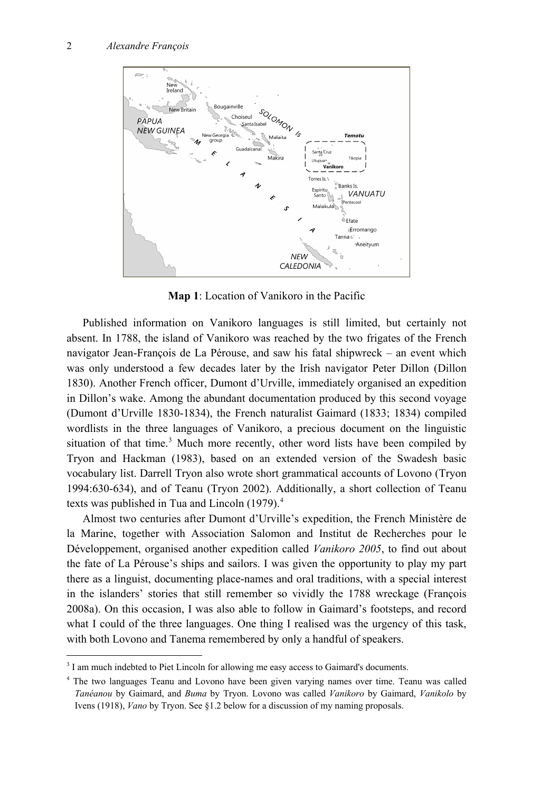

**Map 1**: Location of Vanikoro in the Pacific

Published information on Vanikoro languages is still limited, but certainly not absent. In 1788, the island of Vanikoro was reached by the two frigates of the French navigator Jean-François de La Pérouse, and saw his fatal shipwreck – an event which was only understood a few decades later by the Irish navigator Peter Dillon (Dillon 1830). Another French officer, Dumont d'Urville, immediately organised an expedition in Dillon's wake. Among the abundant documentation produced by this second voyage (Dumont d'Urville 1830-1834), the French naturalist Gaimard (1833; 1834) compiled wordlists in the three languages of Vanikoro, a precious document on the linguistic situation of that time.<sup>[3](#page-1-0)</sup> Much more recently, other word lists have been compiled by Tryon and Hackman (1983), based on an extended version of the Swadesh basic vocabulary list. Darrell Tryon also wrote short grammatical accounts of Lovono (Tryon 1994:630-634), and of Teanu (Tryon 2002). Additionally, a short collection of Teanu texts was published in Tua and Lincoln (1979).<sup>[4](#page-1-1)</sup>

Almost two centuries after Dumont d'Urville's expedition, the French Ministère de la Marine, together with Association Salomon and Institut de Recherches pour le Développement, organised another expedition called *Vanikoro 2005*, to find out about the fate of La Pérouse's ships and sailors. I was given the opportunity to play my part there as a linguist, documenting place-names and oral traditions, with a special interest in the islanders' stories that still remember so vividly the 1788 wreckage (François 2008a). On this occasion, I was also able to follow in Gaimard's footsteps, and record what I could of the three languages. One thing I realised was the urgency of this task, with both Lovono and Tanema remembered by only a handful of speakers.

-

<span id="page-1-0"></span><sup>&</sup>lt;sup>3</sup> I am much indebted to Piet Lincoln for allowing me easy access to Gaimard's documents.

<span id="page-1-1"></span><sup>&</sup>lt;sup>4</sup> The two languages Teanu and Lovono have been given varying names over time. Teanu was called *Tanéanou* by Gaimard, and *Buma* by Tryon. Lovono was called *Vanikoro* by Gaimard, *Vanikolo* by Ivens (1918), *Vano* by Tryon. See §1.2 below for a discussion of my naming proposals.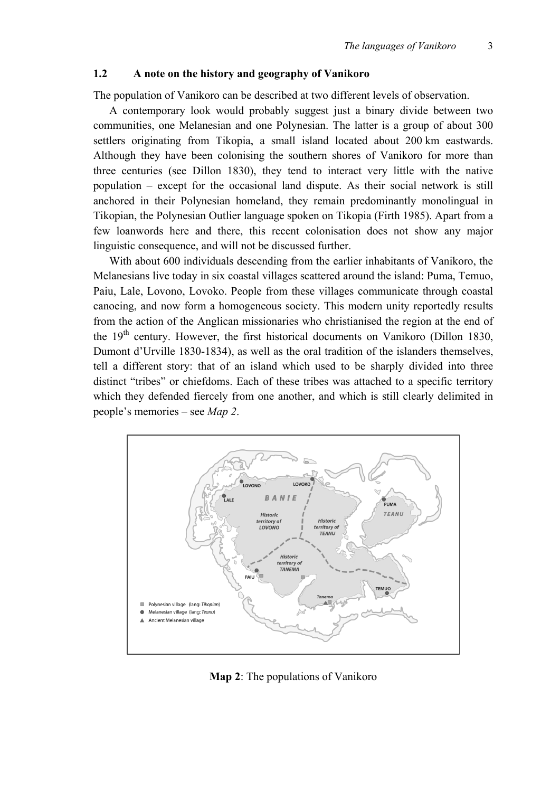# **1.2 A note on the history and geography of Vanikoro**

The population of Vanikoro can be described at two different levels of observation.

A contemporary look would probably suggest just a binary divide between two communities, one Melanesian and one Polynesian. The latter is a group of about 300 settlers originating from Tikopia, a small island located about 200 km eastwards. Although they have been colonising the southern shores of Vanikoro for more than three centuries (see Dillon 1830), they tend to interact very little with the native population – except for the occasional land dispute. As their social network is still anchored in their Polynesian homeland, they remain predominantly monolingual in Tikopian, the Polynesian Outlier language spoken on Tikopia (Firth 1985). Apart from a few loanwords here and there, this recent colonisation does not show any major linguistic consequence, and will not be discussed further.

With about 600 individuals descending from the earlier inhabitants of Vanikoro, the Melanesians live today in six coastal villages scattered around the island: Puma, Temuo, Paiu, Lale, Lovono, Lovoko. People from these villages communicate through coastal canoeing, and now form a homogeneous society. This modern unity reportedly results from the action of the Anglican missionaries who christianised the region at the end of the  $19<sup>th</sup>$  century. However, the first historical documents on Vanikoro (Dillon 1830, Dumont d'Urville 1830-1834), as well as the oral tradition of the islanders themselves, tell a different story: that of an island which used to be sharply divided into three distinct "tribes" or chiefdoms. Each of these tribes was attached to a specific territory which they defended fiercely from one another, and which is still clearly delimited in people's memories – see *Map 2*.



**Map 2**: The populations of Vanikoro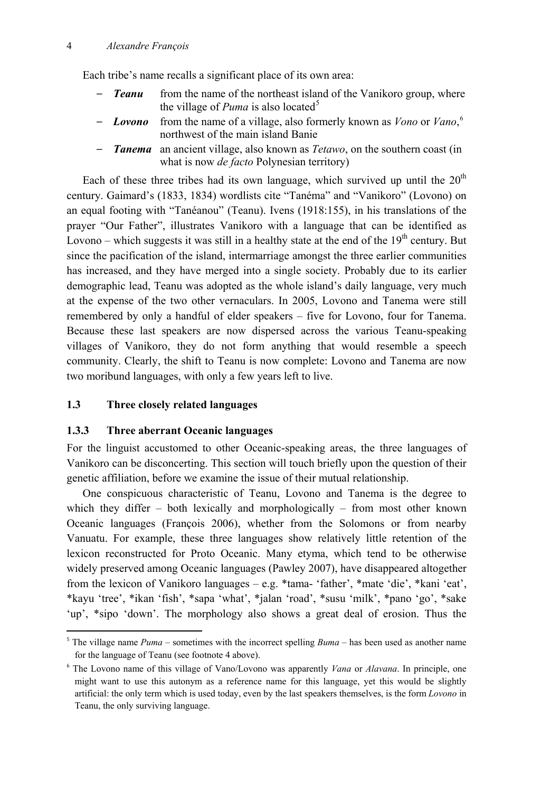#### 4 *Alexandre François*

Each tribe's name recalls a significant place of its own area:

- *Teanu* from the name of the northeast island of the Vanikoro group, where the village of  $Puma$  is also located<sup>[5](#page-3-0)</sup>
- *– Lovono* from the name of a village, also formerly known as *Vono* or *Vano*, [6](#page-3-1) northwest of the main island Banie
- *– Tanema* an ancient village, also known as *Tetawo*, on the southern coast (in what is now *de facto* Polynesian territory)

Each of these three tribes had its own language, which survived up until the  $20<sup>th</sup>$ century. Gaimard's (1833, 1834) wordlists cite "Tanéma" and "Vanikoro" (Lovono) on an equal footing with "Tanéanou" (Teanu). Ivens (1918:155), in his translations of the prayer "Our Father", illustrates Vanikoro with a language that can be identified as Lovono – which suggests it was still in a healthy state at the end of the  $19<sup>th</sup>$  century. But since the pacification of the island, intermarriage amongst the three earlier communities has increased, and they have merged into a single society. Probably due to its earlier demographic lead, Teanu was adopted as the whole island's daily language, very much at the expense of the two other vernaculars. In 2005, Lovono and Tanema were still remembered by only a handful of elder speakers – five for Lovono, four for Tanema. Because these last speakers are now dispersed across the various Teanu-speaking villages of Vanikoro, they do not form anything that would resemble a speech community. Clearly, the shift to Teanu is now complete: Lovono and Tanema are now two moribund languages, with only a few years left to live.

## **1.3 Three closely related languages**

-

#### **1.3.3 Three aberrant Oceanic languages**

For the linguist accustomed to other Oceanic-speaking areas, the three languages of Vanikoro can be disconcerting. This section will touch briefly upon the question of their genetic affiliation, before we examine the issue of their mutual relationship.

One conspicuous characteristic of Teanu, Lovono and Tanema is the degree to which they differ – both lexically and morphologically – from most other known Oceanic languages (François 2006), whether from the Solomons or from nearby Vanuatu. For example, these three languages show relatively little retention of the lexicon reconstructed for Proto Oceanic. Many etyma, which tend to be otherwise widely preserved among Oceanic languages (Pawley 2007), have disappeared altogether from the lexicon of Vanikoro languages – e.g. \*tama- 'father', \*mate 'die', \*kani 'eat', \*kayu 'tree', \*ikan 'fish', \*sapa 'what', \*jalan 'road', \*susu 'milk', \*pano 'go', \*sake 'up', \*sipo 'down'. The morphology also shows a great deal of erosion. Thus the

<span id="page-3-0"></span><sup>&</sup>lt;sup>5</sup> The village name  $Puma$  – sometimes with the incorrect spelling  $Buma$  – has been used as another name for the language of Teanu (see footnote 4 above).

<span id="page-3-1"></span><sup>6</sup> The Lovono name of this village of Vano/Lovono was apparently *Vana* or *Alavana*. In principle, one might want to use this autonym as a reference name for this language, yet this would be slightly artificial: the only term which is used today, even by the last speakers themselves, is the form *Lovono* in Teanu, the only surviving language.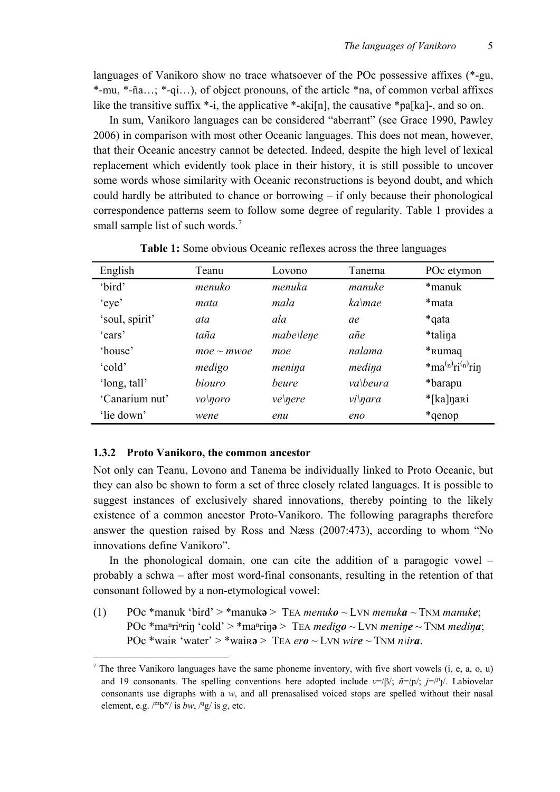languages of Vanikoro show no trace whatsoever of the POc possessive affixes (\*-gu, \*-mu, \*-ña…; \*-qi…), of object pronouns, of the article \*na, of common verbal affixes like the transitive suffix  $*-i$ , the applicative  $*-aki[n]$ , the causative  $*pa[ka]$ -, and so on.

In sum, Vanikoro languages can be considered "aberrant" (see Grace 1990, Pawley 2006) in comparison with most other Oceanic languages. This does not mean, however, that their Oceanic ancestry cannot be detected. Indeed, despite the high level of lexical replacement which evidently took place in their history, it is still possible to uncover some words whose similarity with Oceanic reconstructions is beyond doubt, and which could hardly be attributed to chance or borrowing – if only because their phonological correspondence patterns seem to follow some degree of regularity. Table 1 provides a small sample list of such words.<sup>[7](#page-4-0)</sup>

| English        | Teanu           | Lovono         | Tanema      | POc etymon                                  |
|----------------|-----------------|----------------|-------------|---------------------------------------------|
| 'bird'         | menuko          | menuka         | manuke      | *manuk                                      |
| 'eye'          | mata            | mala           | $ka$ mae    | *mata                                       |
| 'soul, spirit' | ata             | ala            | ae          | *qata                                       |
| 'ears'         | taña            | $mabe$ lene    | añe         | *talina                                     |
| 'house'        | $moe \sim mwoe$ | moe            | nalama      | * <sub>Rumaq</sub>                          |
| 'cold'         | medigo          | menina         | medina      | $*$ ma <sup>(n)</sup> ri <sup>(n)</sup> rin |
| 'long, tall'   | hiouro          | <i>beure</i>   | va\beura    | *barapu                                     |
| 'Canarium nut' | vol <i>noro</i> | <i>ve\nere</i> | $vi\$ {q}ra | *[ka]nari                                   |
| 'lie down'     | wene            | enu            | eno         | *qenop*                                     |

**Table 1:** Some obvious Oceanic reflexes across the three languages

#### **1.3.2 Proto Vanikoro, the common ancestor**

Not only can Teanu, Lovono and Tanema be individually linked to Proto Oceanic, but they can also be shown to form a set of three closely related languages. It is possible to suggest instances of exclusively shared innovations, thereby pointing to the likely existence of a common ancestor Proto-Vanikoro. The following paragraphs therefore answer the question raised by Ross and Næss (2007:473), according to whom "No innovations define Vanikoro".

In the phonological domain, one can cite the addition of a paragogic vowel – probably a schwa – after most word-final consonants, resulting in the retention of that consonant followed by a non-etymological vowel:

(1) POc \*manuk 'bird' > \*manuk**ə** > TEA *menuko* ~ LVN *menuka* ~ TNM *manuke*; POc \*ma<sup>n</sup>ri<sup>n</sup>rin 'cold' > \*ma<sup>n</sup>rin $\phi$  > TEA *medigo* ~ LVN *menine* ~ TNM *medina*; POc \*wair 'water' > \*wair**a** > TEA *ero* ~ LVN *wire* ~ TNM *n\ira*.

<span id="page-4-0"></span><sup>&</sup>lt;sup>7</sup> The three Vanikoro languages have the same phoneme inventory, with five short vowels  $(i, e, a, o, u)$ and 19 consonants. The spelling conventions here adopted include  $v=|\beta|$ ;  $\tilde{n}=|n|$ ;  $j=|n_{\uparrow}|$ . Labiovelar consonants use digraphs with a *w*, and all prenasalised voiced stops are spelled without their nasal element, e.g.  $\frac{m_b w}{i}$  is *bw*,  $\frac{n_g}{i}$  is *g*, etc.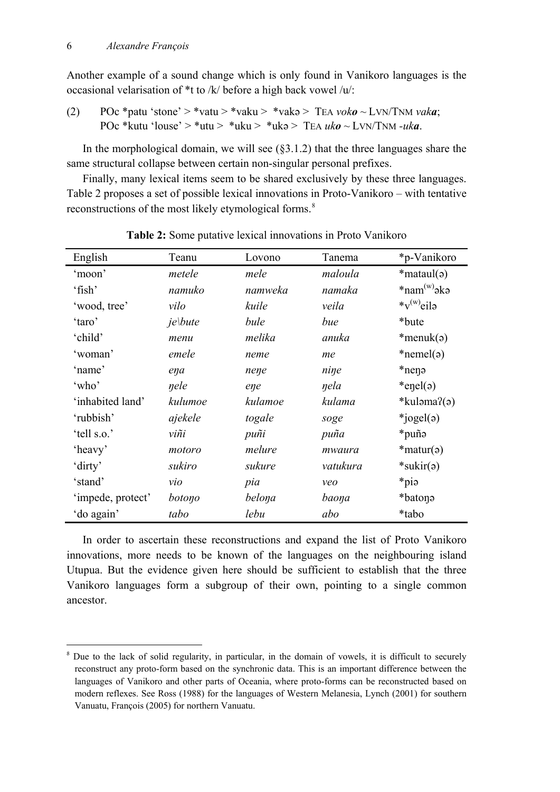-

Another example of a sound change which is only found in Vanikoro languages is the occasional velarisation of \*t to /k/ before a high back vowel /u/:

(2) POc \*patu 'stone' > \*vatu > \*vaku > \*vaka > TEA *voko* ~ LVN/TNM *vaka*; POc \*kutu 'louse' > \*utu > \*uku > \*ukə > TEA *uko* ~ LVN/TNM *-uka*.

In the morphological domain, we will see  $(\S 3.1.2)$  that the three languages share the same structural collapse between certain non-singular personal prefixes.

Finally, many lexical items seem to be shared exclusively by these three languages. Table 2 proposes a set of possible lexical innovations in Proto-Vanikoro – with tentative reconstructions of the most likely etymological forms.<sup>[8](#page-5-0)</sup>

| English           | Teanu      | Lovono  | Tanema   | *p-Vanikoro             |
|-------------------|------------|---------|----------|-------------------------|
| 'moon'            | metele     | mele    | maloula  | $*$ mataul( $\varphi$ ) |
| 'fish'            | namuko     | namweka | namaka   | $*nam(w)$ əkə           |
| 'wood, tree'      | vilo       | kuile   | veila    | $*_{V}^{(w)}$ eilə      |
| 'taro'            | $j$ e\bute | bule    | bue      | *bute                   |
| 'child'           | menu       | melika  | anuka    | $*$ menuk( $\varphi$ )  |
| 'woman'           | emele      | neme    | me       | $*nemel(a)$             |
| 'name'            | ena        | nene    | nine     | *nen <sub>2</sub>       |
| 'who'             | nele       | ene     | nela     | $*$ enel(a)             |
| 'inhabited land'  | kulumoe    | kulamoe | kulama   | $*$ kuləma?(ə)          |
| 'rubbish'         | ajekele    | togale  | soge     | *jogel $(a)$            |
| 'tell s.o.'       | viñi       | puñi    | puña     | *puñə                   |
| 'heavy'           | motoro     | melure  | mwaura   | $*$ matur( $\varphi$ )  |
| 'dirty'           | sukiro     | sukure  | vatukura | $*$ sukir $(a)$         |
| 'stand'           | vio        | pia     | veo      | *pia                    |
| 'impede, protect' | botono     | belona  | baona    | *baton <sub>9</sub>     |
| 'do again'        | tabo       | lebu    | abo      | *tabo                   |

**Table 2:** Some putative lexical innovations in Proto Vanikoro

In order to ascertain these reconstructions and expand the list of Proto Vanikoro innovations, more needs to be known of the languages on the neighbouring island Utupua. But the evidence given here should be sufficient to establish that the three Vanikoro languages form a subgroup of their own, pointing to a single common ancestor.

<span id="page-5-0"></span><sup>&</sup>lt;sup>8</sup> Due to the lack of solid regularity, in particular, in the domain of vowels, it is difficult to securely reconstruct any proto-form based on the synchronic data. This is an important difference between the languages of Vanikoro and other parts of Oceania, where proto-forms can be reconstructed based on modern reflexes. See Ross (1988) for the languages of Western Melanesia, Lynch (2001) for southern Vanuatu, François (2005) for northern Vanuatu.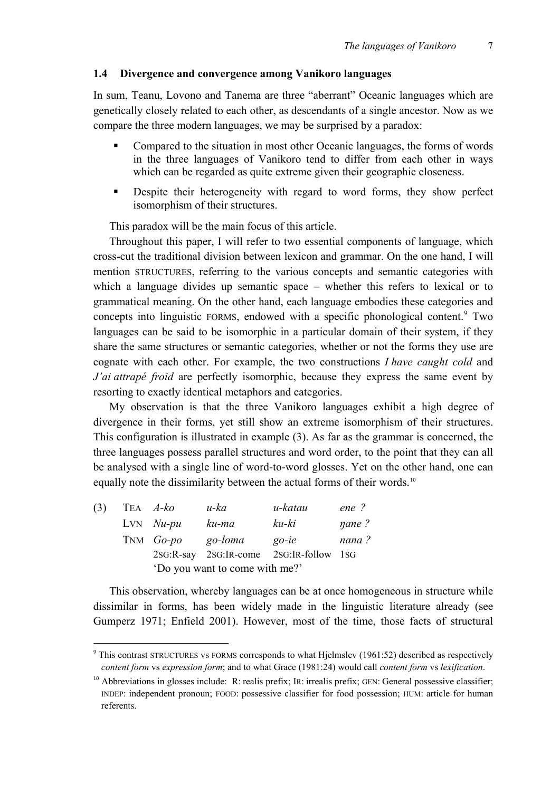#### **1.4 Divergence and convergence among Vanikoro languages**

In sum, Teanu, Lovono and Tanema are three "aberrant" Oceanic languages which are genetically closely related to each other, as descendants of a single ancestor. Now as we compare the three modern languages, we may be surprised by a paradox:

- Compared to the situation in most other Oceanic languages, the forms of words in the three languages of Vanikoro tend to differ from each other in ways which can be regarded as quite extreme given their geographic closeness.
- **Despite their heterogeneity with regard to word forms, they show perfect** isomorphism of their structures.

This paradox will be the main focus of this article.

Throughout this paper, I will refer to two essential components of language, which cross-cut the traditional division between lexicon and grammar. On the one hand, I will mention STRUCTURES, referring to the various concepts and semantic categories with which a language divides up semantic space – whether this refers to lexical or to grammatical meaning. On the other hand, each language embodies these categories and concepts into linguistic FORMS, endowed with a specific phonological content.<sup>9</sup> Two languages can be said to be isomorphic in a particular domain of their system, if they share the same structures or semantic categories, whether or not the forms they use are cognate with each other. For example, the two constructions *I have caught cold* and *J'ai attrapé froid* are perfectly isomorphic, because they express the same event by resorting to exactly identical metaphors and categories.

My observation is that the three Vanikoro languages exhibit a high degree of divergence in their forms, yet still show an extreme isomorphism of their structures. This configuration is illustrated in example (3). As far as the grammar is concerned, the three languages possess parallel structures and word order, to the point that they can all be analysed with a single line of word-to-word glosses. Yet on the other hand, one can equally note the dissimilarity between the actual forms of their words.<sup>[10](#page-6-1)</sup>

| (3) | TEA <i>A-ko</i>                | $u$ -ka | u-katau                                 | $ene$ ?     |  |  |
|-----|--------------------------------|---------|-----------------------------------------|-------------|--|--|
|     | $LvN$ $Nu$ -pu                 | ku-ma   | ku-ki                                   | $\eta$ ane? |  |  |
|     | TNM Go-po                      | go-loma | $go-ie$                                 | nana?       |  |  |
|     |                                |         | 2sG:R-say 2sG:IR-come 2sG:IR-follow 1sG |             |  |  |
|     | 'Do you want to come with me?' |         |                                         |             |  |  |

This observation, whereby languages can be at once homogeneous in structure while dissimilar in forms, has been widely made in the linguistic literature already (see Gumperz 1971; Enfield 2001). However, most of the time, those facts of structural

<span id="page-6-0"></span><sup>&</sup>lt;sup>9</sup> This contrast STRUCTURES vs FORMS corresponds to what Hjelmslev (1961:52) described as respectively *content form* vs *expression form*; and to what Grace (1981:24) would call *content form* vs *lexification*.

<span id="page-6-1"></span> $10$  Abbreviations in glosses include: R: realis prefix; IR: irrealis prefix; GEN: General possessive classifier; INDEP: independent pronoun; FOOD: possessive classifier for food possession; HUM: article for human referents.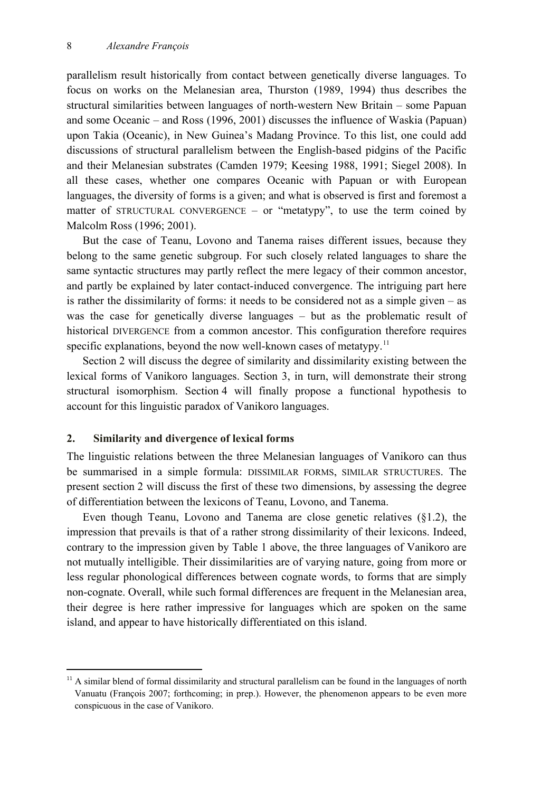parallelism result historically from contact between genetically diverse languages. To focus on works on the Melanesian area, Thurston (1989, 1994) thus describes the structural similarities between languages of north-western New Britain – some Papuan and some Oceanic – and Ross (1996, 2001) discusses the influence of Waskia (Papuan) upon Takia (Oceanic), in New Guinea's Madang Province. To this list, one could add discussions of structural parallelism between the English-based pidgins of the Pacific and their Melanesian substrates (Camden 1979; Keesing 1988, 1991; Siegel 2008). In all these cases, whether one compares Oceanic with Papuan or with European languages, the diversity of forms is a given; and what is observed is first and foremost a matter of STRUCTURAL CONVERGENCE – or "metatypy", to use the term coined by Malcolm Ross (1996; 2001).

But the case of Teanu, Lovono and Tanema raises different issues, because they belong to the same genetic subgroup. For such closely related languages to share the same syntactic structures may partly reflect the mere legacy of their common ancestor, and partly be explained by later contact-induced convergence. The intriguing part here is rather the dissimilarity of forms: it needs to be considered not as a simple given – as was the case for genetically diverse languages – but as the problematic result of historical DIVERGENCE from a common ancestor. This configuration therefore requires specific explanations, beyond the now well-known cases of metatypy.<sup>[11](#page-7-0)</sup>

Section 2 will discuss the degree of similarity and dissimilarity existing between the lexical forms of Vanikoro languages. Section 3, in turn, will demonstrate their strong structural isomorphism. Section 4 will finally propose a functional hypothesis to account for this linguistic paradox of Vanikoro languages.

#### **2. Similarity and divergence of lexical forms**

-

The linguistic relations between the three Melanesian languages of Vanikoro can thus be summarised in a simple formula: DISSIMILAR FORMS, SIMILAR STRUCTURES. The present section 2 will discuss the first of these two dimensions, by assessing the degree of differentiation between the lexicons of Teanu, Lovono, and Tanema.

Even though Teanu, Lovono and Tanema are close genetic relatives (§1.2), the impression that prevails is that of a rather strong dissimilarity of their lexicons. Indeed, contrary to the impression given by Table 1 above, the three languages of Vanikoro are not mutually intelligible. Their dissimilarities are of varying nature, going from more or less regular phonological differences between cognate words, to forms that are simply non-cognate. Overall, while such formal differences are frequent in the Melanesian area, their degree is here rather impressive for languages which are spoken on the same island, and appear to have historically differentiated on this island.

<span id="page-7-0"></span> $11$  A similar blend of formal dissimilarity and structural parallelism can be found in the languages of north Vanuatu (François 2007; forthcoming; in prep.). However, the phenomenon appears to be even more conspicuous in the case of Vanikoro.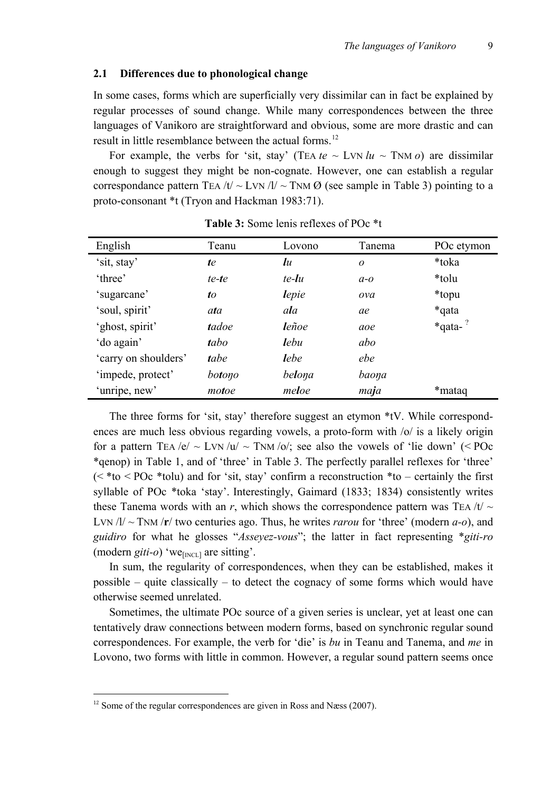#### **2.1 Differences due to phonological change**

In some cases, forms which are superficially very dissimilar can in fact be explained by regular processes of sound change. While many correspondences between the three languages of Vanikoro are straightforward and obvious, some are more drastic and can result in little resemblance between the actual forms.<sup>[12](#page-8-0)</sup>

For example, the verbs for 'sit, stay' (TEA  $te \sim LVN$   $lu \sim TNM$   $o$ ) are dissimilar enough to suggest they might be non-cognate. However, one can establish a regular correspondance pattern TEA /t/  $\sim$  LVN /l/  $\sim$  TNM Ø (see sample in Table 3) pointing to a proto-consonant \*t (Tryon and Hackman 1983:71).

| English              | Teanu  | Lovono         | Tanema | POc etymon     |
|----------------------|--------|----------------|--------|----------------|
| 'sit, stay'          | te     | $\mathfrak{u}$ | 0      | *toka          |
| 'three'              | te-te  | te-lu          | $a-a$  | *tolu          |
| 'sugarcane'          | to     | lepie          | ova    | *topu          |
| 'soul, spirit'       | ata    | ala            | ae     | *qata          |
| 'ghost, spirit'      | tadoe  | leñoe          | aoe    | $*$ qata- $^?$ |
| 'do again'           | tabo   | <b>l</b> ebu   | abo    |                |
| 'carry on shoulders' | tabe   | lebe           | ebe    |                |
| 'impede, protect'    | botono | belona         | baona  |                |
| 'unripe, new'        | motoe  | meloe          | maja   | *mataq         |

**Table 3:** Some lenis reflexes of POc \*t

The three forms for 'sit, stay' therefore suggest an etymon \*tV. While correspondences are much less obvious regarding vowels, a proto-form with /o/ is a likely origin for a pattern TEA /e/  $\sim$  LVN /u/  $\sim$  TNM /o/; see also the vowels of 'lie down' (< POc \*qenop) in Table 1, and of 'three' in Table 3. The perfectly parallel reflexes for 'three'  $( $\times$  to  $\lt$  POc *tolu) and for 'sit, stay' confirm a reconstruction *to – certainly the first$ syllable of POc \*toka 'stay'. Interestingly, Gaimard (1833; 1834) consistently writes these Tanema words with an *r*, which shows the correspondence pattern was TEA /t/  $\sim$ LVN /l/ ~ TNM /**r**/ two centuries ago. Thus, he writes *rarou* for 'three' (modern *a-o*), and *guidiro* for what he glosses "*Asseyez-vous*"; the latter in fact representing \**giti-ro* (modern  $giti-o$ ) 'we $_{[NCL]}$  are sitting'.

In sum, the regularity of correspondences, when they can be established, makes it possible – quite classically – to detect the cognacy of some forms which would have otherwise seemed unrelated.

Sometimes, the ultimate POc source of a given series is unclear, yet at least one can tentatively draw connections between modern forms, based on synchronic regular sound correspondences. For example, the verb for 'die' is *bu* in Teanu and Tanema, and *me* in Lovono, two forms with little in common. However, a regular sound pattern seems once

<span id="page-8-0"></span> $12$  Some of the regular correspondences are given in Ross and Næss (2007).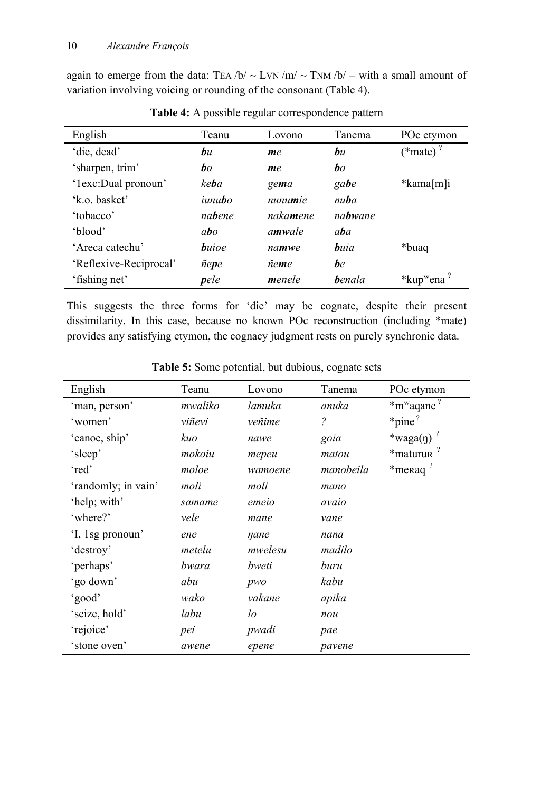again to emerge from the data: TEA  $/b / \sim LYN / m / \sim TNM / b / -$  with a small amount of variation involving voicing or rounding of the consonant (Table 4).

| English                | Teanu              | Lovono            | Tanema         | POc etymon                         |
|------------------------|--------------------|-------------------|----------------|------------------------------------|
| 'die, dead'            | bu                 | me                | bu             | $(*mate)$ <sup>?</sup>             |
| 'sharpen, trim'        | $\bm{b}$           | me                | bo             |                                    |
| '1exc:Dual pronoun'    | ke <b>b</b> a      | gema              | gabe           | *kama[m]i                          |
| 'k.o. basket'          | $i$ unu <b>b</b> o | nunumie           | nuba           |                                    |
| 'tobacco'              | nabene             | naka <b>m</b> ene | nabwane        |                                    |
| 'blood'                | abo                | amwale            | aba            |                                    |
| 'Areca catechu'        | <b>b</b> uioe      | namwe             | <b>b</b> uia   | *buaq*                             |
| 'Reflexive-Reciprocal' | ñepe               | ñeme              | be             |                                    |
| 'fishing net'          | pele               | menele            | <b>b</b> enala | *kup <sup>w</sup> ena <sup>?</sup> |

**Table 4:** A possible regular correspondence pattern

This suggests the three forms for 'die' may be cognate, despite their present dissimilarity. In this case, because no known POc reconstruction (including \*mate) provides any satisfying etymon, the cognacy judgment rests on purely synchronic data.

| English             | Teanu   | Lovono  | Tanema                   | POc etymon                            |
|---------------------|---------|---------|--------------------------|---------------------------------------|
| 'man, person'       | mwaliko | lamuka  | anuka                    | $*$ m <sup>w</sup> aqane <sup>?</sup> |
| 'women'             | viñevi  | veñime  | $\overline{\mathcal{E}}$ | $*$ pine <sup>?</sup>                 |
| 'canoe, ship'       | kuo     | nawe    | goia                     | *waga $(\eta)$                        |
| 'sleep'             | mokoiu  | тереи   | matou                    | *maturun                              |
| 'red'               | moloe   | wamoene | manobeila                | *meraq <sup>?</sup>                   |
| 'randomly; in vain' | moli    | moli    | mano                     |                                       |
| 'help; with'        | samame  | emeio   | avaio                    |                                       |
| 'where?'            | vele    | mane    | vane                     |                                       |
| 'I, 1sg pronoun'    | ene     | nane    | nana                     |                                       |
| 'destroy'           | metelu  | mwelesu | madilo                   |                                       |
| 'perhaps'           | bwara   | bweti   | buru                     |                                       |
| 'go down'           | abu     | pwo     | kabu                     |                                       |
| 'good'              | wako    | vakane  | apika                    |                                       |
| 'seize, hold'       | labu    | $\iota$ | nou                      |                                       |
| 'rejoice'           | pei     | pwadi   | pae                      |                                       |
| 'stone oven'        | awene   | epene   | pavene                   |                                       |

**Table 5:** Some potential, but dubious, cognate sets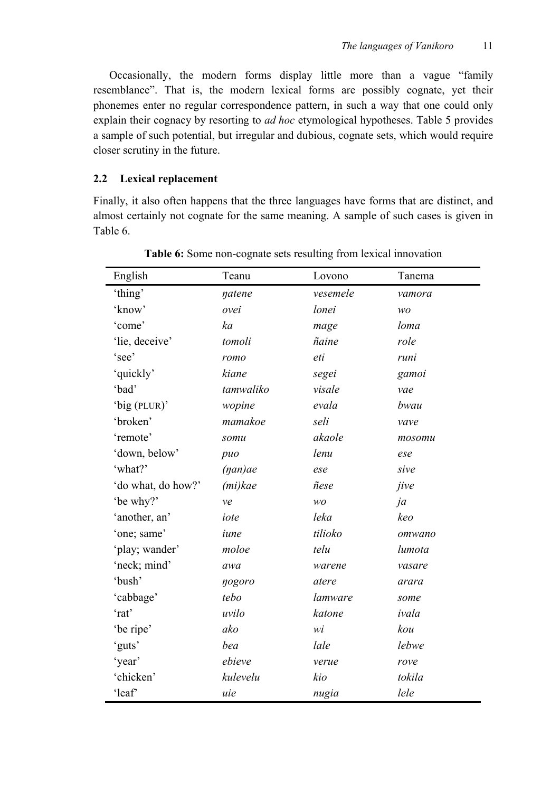Occasionally, the modern forms display little more than a vague "family resemblance". That is, the modern lexical forms are possibly cognate, yet their phonemes enter no regular correspondence pattern, in such a way that one could only explain their cognacy by resorting to *ad hoc* etymological hypotheses. Table 5 provides a sample of such potential, but irregular and dubious, cognate sets, which would require closer scrutiny in the future.

## **2.2 Lexical replacement**

Finally, it also often happens that the three languages have forms that are distinct, and almost certainly not cognate for the same meaning. A sample of such cases is given in Table 6.

| English            | Teanu            | Lovono   | Tanema |
|--------------------|------------------|----------|--------|
| 'thing'            | natene           | vesemele | vamora |
| 'know'             | ovei             | lonei    | WO     |
| 'come'             | ka               | mage     | loma   |
| 'lie, deceive'     | tomoli           | ñaine    | role   |
| 'see'              | romo             | eti      | runi   |
| 'quickly'          | kiane            | segei    | gamoi  |
| 'bad'              | tamwaliko        | visale   | vae    |
| 'big (PLUR)'       | wopine           | evala    | bwau   |
| 'broken'           | mamakoe          | seli     | vave   |
| 'remote'           | somu             | akaole   | mosomu |
| 'down, below'      | puo              | lenu     | ese    |
| 'what?'            | $(\eta a n) a e$ | ese      | sive   |
| 'do what, do how?' | $(mi)$ kae       | ñese     | jive   |
| 'be why?'          | ve               | wo       | ja     |
| 'another, an'      | iote             | leka     | keo    |
| 'one; same'        | iune             | tilioko  | omwano |
| 'play; wander'     | moloe            | telu     | lumota |
| 'neck; mind'       | awa              | warene   | vasare |
| 'bush'             | nogoro           | atere    | arara  |
| 'cabbage'          | tebo             | lamware  | some   |
| 'rat'              | uvilo            | katone   | ivala  |
| 'be ripe'          | ako              | wi       | kou    |
| 'guts'             | bea              | lale     | lebwe  |
| 'year'             | ebieve           | verue    | rove   |
| 'chicken'          | kulevelu         | kio      | tokila |
| 'leaf'             | uie              | nugia    | lele   |

**Table 6:** Some non-cognate sets resulting from lexical innovation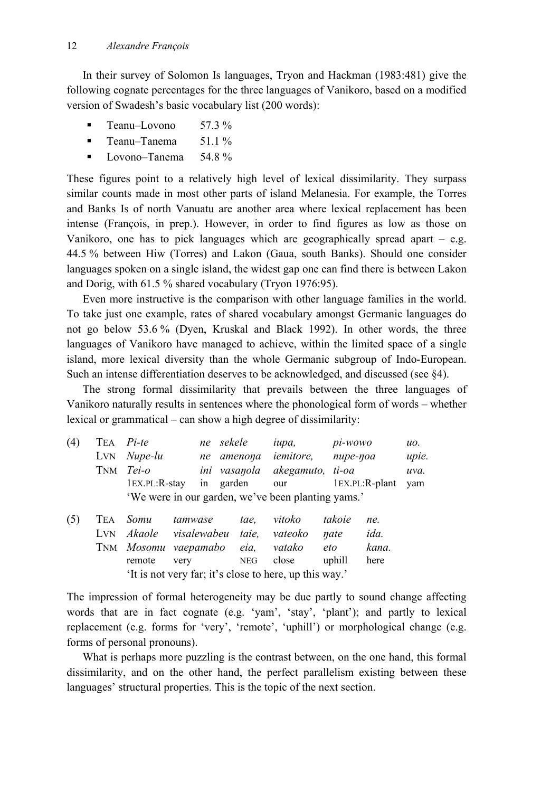In their survey of Solomon Is languages, Tryon and Hackman (1983:481) give the following cognate percentages for the three languages of Vanikoro, based on a modified version of Swadesh's basic vocabulary list (200 words):

- **Teanu–Lovono** 57.3  $\%$
- **Teanu–Tanema**  $51.1\%$
- **Lovono–Tanema**  $54.8\%$

These figures point to a relatively high level of lexical dissimilarity. They surpass similar counts made in most other parts of island Melanesia. For example, the Torres and Banks Is of north Vanuatu are another area where lexical replacement has been intense (François, in prep.). However, in order to find figures as low as those on Vanikoro, one has to pick languages which are geographically spread apart  $-$  e.g. 44.5 % between Hiw (Torres) and Lakon (Gaua, south Banks). Should one consider languages spoken on a single island, the widest gap one can find there is between Lakon and Dorig, with 61.5 % shared vocabulary (Tryon 1976:95).

Even more instructive is the comparison with other language families in the world. To take just one example, rates of shared vocabulary amongst Germanic languages do not go below 53.6 % (Dyen, Kruskal and Black 1992). In other words, the three languages of Vanikoro have managed to achieve, within the limited space of a single island, more lexical diversity than the whole Germanic subgroup of Indo-European. Such an intense differentiation deserves to be acknowledged, and discussed (see §4).

The strong formal dissimilarity that prevails between the three languages of Vanikoro naturally results in sentences where the phonological form of words – whether lexical or grammatical – can show a high degree of dissimilarity:

| (4) |                                                    | TEA <i>Pi-te</i>     |  | ne sekele  | <i>iupa</i> ,                 | pi-wowo            | uo.   |  |
|-----|----------------------------------------------------|----------------------|--|------------|-------------------------------|--------------------|-------|--|
|     |                                                    | $LYN$ <i>Nupe-lu</i> |  | ne amenona | iemitore,                     | nupe-noa           | upie. |  |
|     |                                                    | TNM <i>Tei-o</i>     |  |            | ini vasanola akegamuto, ti-oa |                    | uva.  |  |
|     |                                                    | $1EX.PL:R-star$      |  | in garden  |                               | our 1EX.PL:R-plant | vam   |  |
|     | 'We were in our garden, we've been planting yams.' |                      |  |            |                               |                    |       |  |

| (5)                                                    |  |  | TEA Somu tamwase tae, vitoko takoie       |  |  |  | ne.         |
|--------------------------------------------------------|--|--|-------------------------------------------|--|--|--|-------------|
|                                                        |  |  | LVN Akaole visalewabeu taie, vateoko nate |  |  |  | <i>ida.</i> |
|                                                        |  |  | TNM Mosomu vaepamabo eia, vatako eto      |  |  |  | kana.       |
|                                                        |  |  | remote very NEG close uphill              |  |  |  | here        |
| 'It is not very far; it's close to here, up this way.' |  |  |                                           |  |  |  |             |

The impression of formal heterogeneity may be due partly to sound change affecting words that are in fact cognate (e.g. 'yam', 'stay', 'plant'); and partly to lexical replacement (e.g. forms for 'very', 'remote', 'uphill') or morphological change (e.g. forms of personal pronouns).

What is perhaps more puzzling is the contrast between, on the one hand, this formal dissimilarity, and on the other hand, the perfect parallelism existing between these languages' structural properties. This is the topic of the next section.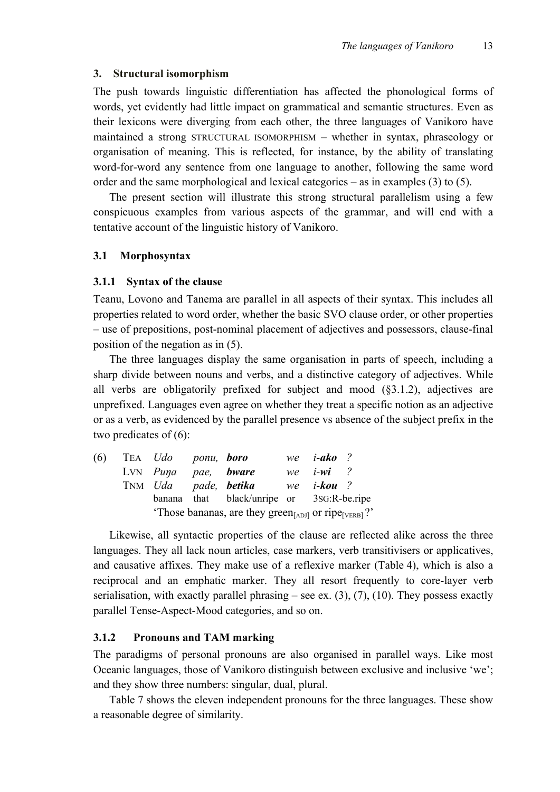#### **3. Structural isomorphism**

The push towards linguistic differentiation has affected the phonological forms of words, yet evidently had little impact on grammatical and semantic structures. Even as their lexicons were diverging from each other, the three languages of Vanikoro have maintained a strong STRUCTURAL ISOMORPHISM – whether in syntax, phraseology or organisation of meaning. This is reflected, for instance, by the ability of translating word-for-word any sentence from one language to another, following the same word order and the same morphological and lexical categories – as in examples (3) to (5).

The present section will illustrate this strong structural parallelism using a few conspicuous examples from various aspects of the grammar, and will end with a tentative account of the linguistic history of Vanikoro.

#### **3.1 Morphosyntax**

#### **3.1.1 Syntax of the clause**

Teanu, Lovono and Tanema are parallel in all aspects of their syntax. This includes all properties related to word order, whether the basic SVO clause order, or other properties – use of prepositions, post-nominal placement of adjectives and possessors, clause-final position of the negation as in (5).

The three languages display the same organisation in parts of speech, including a sharp divide between nouns and verbs, and a distinctive category of adjectives. While all verbs are obligatorily prefixed for subject and mood  $(\xi 3.1.2)$ , adjectives are unprefixed. Languages even agree on whether they treat a specific notion as an adjective or as a verb, as evidenced by the parallel presence vs absence of the subject prefix in the two predicates of (6):

| (6) | TEA Udo ponu, boro  |                                                                              | we $i$ -ako ? |  |
|-----|---------------------|------------------------------------------------------------------------------|---------------|--|
|     | LVN Puna pae, bware |                                                                              | we $i-wi$ ?   |  |
|     |                     | TNM Uda pade, <b>betika</b> we <i>i-kou</i> ?                                |               |  |
|     |                     | banana that black/unripe or 3sG:R-be.ripe                                    |               |  |
|     |                     | 'Those bananas, are they green <sub>[ADJ]</sub> or ripe <sub>[VERB]</sub> ?' |               |  |

Likewise, all syntactic properties of the clause are reflected alike across the three languages. They all lack noun articles, case markers, verb transitivisers or applicatives, and causative affixes. They make use of a reflexive marker (Table 4), which is also a reciprocal and an emphatic marker. They all resort frequently to core-layer verb serialisation, with exactly parallel phrasing – see ex.  $(3)$ ,  $(7)$ ,  $(10)$ . They possess exactly parallel Tense-Aspect-Mood categories, and so on.

## **3.1.2 Pronouns and TAM marking**

The paradigms of personal pronouns are also organised in parallel ways. Like most Oceanic languages, those of Vanikoro distinguish between exclusive and inclusive 'we'; and they show three numbers: singular, dual, plural.

Table 7 shows the eleven independent pronouns for the three languages. These show a reasonable degree of similarity.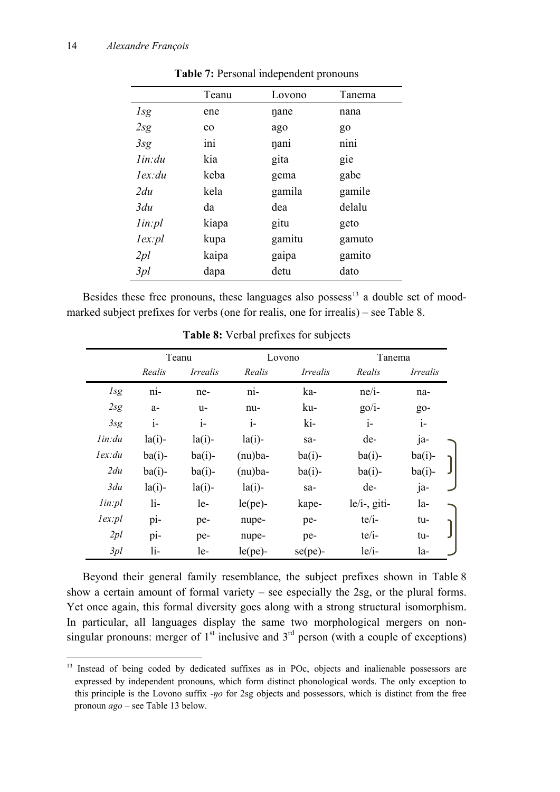-

|         | Teanu | Lovono | Tanema |
|---------|-------|--------|--------|
| Isg     | ene   | nane   | nana   |
| 2sg     | eo    | ago    | $g_0$  |
| 3sg     | ini   | nani   | nini   |
| lin:du  | kia   | gita   | gie    |
| lex: du | keba  | gema   | gabe   |
| 2du     | kela  | gamila | gamile |
| 3du     | da    | dea    | delalu |
| lin:pl  | kiapa | gitu   | geto   |
| lex:pl  | kupa  | gamitu | gamuto |
| 2pl     | kaipa | gaipa  | gamito |
| 3pl     | dapa  | detu   | dato   |

**Table 7:** Personal independent pronouns

Besides these free pronouns, these languages also possess<sup>[13](#page-13-0)</sup> a double set of moodmarked subject prefixes for verbs (one for realis, one for irrealis) – see Table 8.

|            |           | Teanu           |            | Lovono          |                 | Tanema          |  |
|------------|-----------|-----------------|------------|-----------------|-----------------|-----------------|--|
|            | Realis    | <i>Irrealis</i> | Realis     | <i>Irrealis</i> | Realis          | <i>Irrealis</i> |  |
| <i>lsg</i> | ni-       | ne-             | ni-        | ka-             | $ne/i$ -        | na-             |  |
| 2sg        | $a-$      | u-              | nu-        | ku-             | $g_0/i$ -       | $g_{0}$ -       |  |
| 3sg        | $1-$      | $i-$            | $i-$       | ki-             | $i-$            | $i-$            |  |
| lin: du    | $la(i)$ - | $la(i)$ -       | $la(i)$ -  | sa-             | de-             | ja-             |  |
| lex:du     | $ba(i)$ - | $ba(i)$ -       | $(nu)$ ba- | $ba(i)$ -       | $ba(i)$ -       | $ba(i)$ -       |  |
| 2du        | $ba(i)$ - | $ba(i)$ -       | $(nu)$ ba- | $ba(i)$ -       | $ba(i)$ -       | $ba(i)$ -       |  |
| 3du        | $la(i)$ - | $la(i)$ -       | $la(i)$ -  | sa-             | de-             | ja-             |  |
| lin:pl     | $li-$     | $le-$           | $le(pe)$ - | kape-           | $le/i$ -, giti- | $1a-$           |  |
| lex:pl     | pi-       | pe-             | nupe-      | pe-             | $te/i-$         | tu-             |  |
| 2pl        | pi-       | pe-             | nupe-      | pe-             | $te/i-$         | tu-             |  |
| 3pl        | li-       | le-             | $le(pe)$ - | $se(pe)$ -      | $le/i$ -        | $1a-$           |  |

**Table 8:** Verbal prefixes for subjects

Beyond their general family resemblance, the subject prefixes shown in Table 8 show a certain amount of formal variety – see especially the 2sg, or the plural forms. Yet once again, this formal diversity goes along with a strong structural isomorphism. In particular, all languages display the same two morphological mergers on nonsingular pronouns: merger of  $1<sup>st</sup>$  inclusive and  $3<sup>rd</sup>$  person (with a couple of exceptions)

<span id="page-13-0"></span><sup>&</sup>lt;sup>13</sup> Instead of being coded by dedicated suffixes as in POc, objects and inalienable possessors are expressed by independent pronouns, which form distinct phonological words. The only exception to this principle is the Lovono suffix *-ŋo* for 2sg objects and possessors, which is distinct from the free pronoun *ago* – see Table 13 below.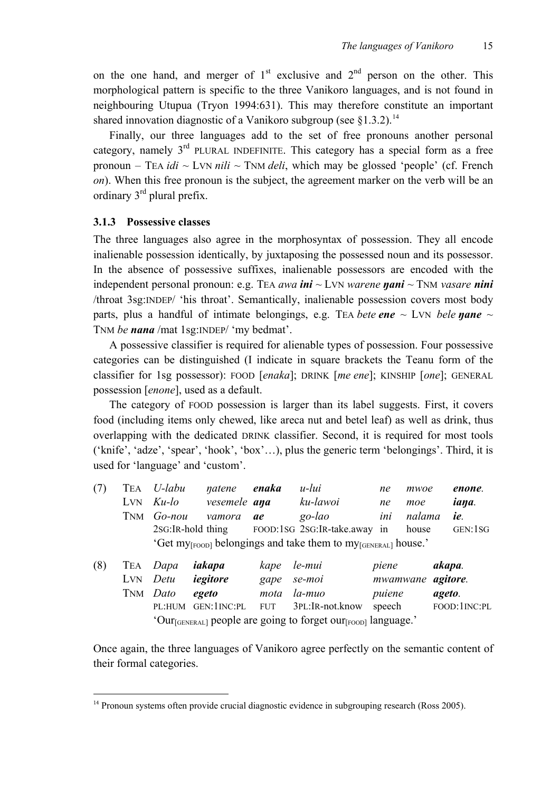on the one hand, and merger of  $1<sup>st</sup>$  exclusive and  $2<sup>nd</sup>$  person on the other. This morphological pattern is specific to the three Vanikoro languages, and is not found in neighbouring Utupua (Tryon 1994:631). This may therefore constitute an important shared innovation diagnostic of a Vanikoro subgroup (see  $§1.3.2$ ).<sup>[14](#page-14-0)</sup>

Finally, our three languages add to the set of free pronouns another personal category, namely  $3<sup>rd</sup>$  PLURAL INDEFINITE. This category has a special form as a free pronoun – TEA *idi* ~ LVN *nili* ~ TNM *deli*, which may be glossed 'people' (cf. French *on*). When this free pronoun is the subject, the agreement marker on the verb will be an ordinary  $3<sup>rd</sup>$  plural prefix.

## **3.1.3 Possessive classes**

The three languages also agree in the morphosyntax of possession. They all encode inalienable possession identically, by juxtaposing the possessed noun and its possessor. In the absence of possessive suffixes, inalienable possessors are encoded with the independent personal pronoun: e.g. TEA *awa ini* ~ LVN *warene ŋani* ~ TNM *vasare nini* /throat 3sg:INDEP/ 'his throat'. Semantically, inalienable possession covers most body parts, plus a handful of intimate belongings, e.g. TEA *bete ene*  $\sim$  LVN *bele nane*  $\sim$ TNM *be nana* /mat 1sg:INDEP/ 'my bedmat'.

A possessive classifier is required for alienable types of possession. Four possessive categories can be distinguished (I indicate in square brackets the Teanu form of the classifier for 1sg possessor): FOOD [*enaka*]; DRINK [*me ene*]; KINSHIP [*one*]; GENERAL possession [*enone*], used as a default.

The category of FOOD possession is larger than its label suggests. First, it covers food (including items only chewed, like areca nut and betel leaf) as well as drink, thus overlapping with the dedicated DRINK classifier. Second, it is required for most tools ('knife', 'adze', 'spear', 'hook', 'box'…), plus the generic term 'belongings'. Third, it is used for 'language' and 'custom'.

| (7) |     | TEA <i>U-labu</i> | natene       | enaka | u-lui                                                                                 | ne    | mwoe   | enone.  |
|-----|-----|-------------------|--------------|-------|---------------------------------------------------------------------------------------|-------|--------|---------|
|     | LVN | Ku-lo             | vesemele ana |       | ku-lawoi                                                                              | ne    | moe    | iana.   |
|     |     | TNM <i>Go-nou</i> | vamora       | ae    | go-lao                                                                                | ini   | nalama | ie.     |
|     |     |                   |              |       | 2sG:IR-hold thing FOOD:1sG 2sG:IR-take.away                                           | in    | house  | GEN:1SG |
|     |     |                   |              |       | 'Get my <sub>[FOOD]</sub> belongings and take them to my <sub>[GENERAL]</sub> house.' |       |        |         |
| (8) |     | TEA Dapa          | iakapa       | kape  | le-mui                                                                                | piene | akapa. |         |

| $\lambda$ - $\lambda$ |                       |                          |                                                                                       |                           |              |
|-----------------------|-----------------------|--------------------------|---------------------------------------------------------------------------------------|---------------------------|--------------|
|                       |                       | LVN Detu <b>iegitore</b> | gape se-moi                                                                           | mwamwane <b>agitore</b> . |              |
|                       | TNM <i>Dato</i> egeto |                          | mota la-muo                                                                           | puiene                    | ageto.       |
|                       |                       |                          | PL:HUM GEN:1INC:PL FUT 3PL:IR-not.know speech                                         |                           | FOOD:1INC:PL |
|                       |                       |                          | 'Our <sub>[GENERAL]</sub> people are going to forget our <sub>[FOOD]</sub> language.' |                           |              |

Once again, the three languages of Vanikoro agree perfectly on the semantic content of their formal categories.

<span id="page-14-0"></span> $14$  Pronoun systems often provide crucial diagnostic evidence in subgrouping research (Ross 2005).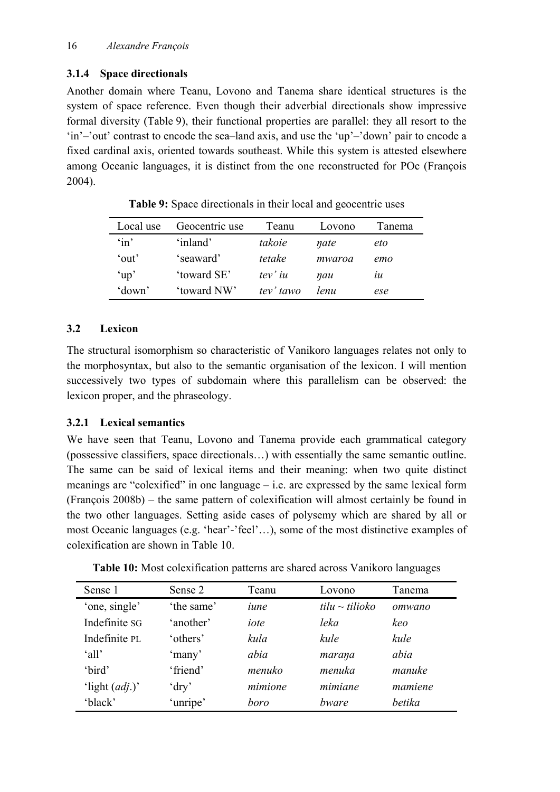# **3.1.4 Space directionals**

Another domain where Teanu, Lovono and Tanema share identical structures is the system of space reference. Even though their adverbial directionals show impressive formal diversity (Table 9), their functional properties are parallel: they all resort to the 'in'–'out' contrast to encode the sea–land axis, and use the 'up'–'down' pair to encode a fixed cardinal axis, oriented towards southeast. While this system is attested elsewhere among Oceanic languages, it is distinct from the one reconstructed for POc (François 2004).

| Local use           | Geocentric use | Teanu            | Lovono | Tanema         |
|---------------------|----------------|------------------|--------|----------------|
| $\sin$ <sup>2</sup> | 'inland'       | takoie           | nate   | eto            |
| 'out'               | 'seaward'      | tetake           | mwaroa | emo            |
| $\mu$ <sup>'</sup>  | 'toward SE'    | $tev'$ <i>iu</i> | nau    | $\mathfrak{u}$ |
| 'down'              | 'toward NW'    | tev' tawo        | lenu   | ese            |

**Table 9:** Space directionals in their local and geocentric uses

# **3.2 Lexicon**

The structural isomorphism so characteristic of Vanikoro languages relates not only to the morphosyntax, but also to the semantic organisation of the lexicon. I will mention successively two types of subdomain where this parallelism can be observed: the lexicon proper, and the phraseology.

# **3.2.1 Lexical semantics**

We have seen that Teanu, Lovono and Tanema provide each grammatical category (possessive classifiers, space directionals…) with essentially the same semantic outline. The same can be said of lexical items and their meaning: when two quite distinct meanings are "colexified" in one language – i.e. are expressed by the same lexical form (François 2008b) – the same pattern of colexification will almost certainly be found in the two other languages. Setting aside cases of polysemy which are shared by all or most Oceanic languages (e.g. 'hear'-'feel'…), some of the most distinctive examples of colexification are shown in Table 10.

| Table 10: Most colexification patterns are shared across Vanikoro languages |  |
|-----------------------------------------------------------------------------|--|
|-----------------------------------------------------------------------------|--|

| Sense 1          | Sense 2    | Teanu   | Lovono              | Tanema  |
|------------------|------------|---------|---------------------|---------|
| 'one, single'    | 'the same' | iune    | $tilu \sim tilioko$ | omwano  |
| Indefinite SG    | 'another'  | iote    | leka                | keo     |
| Indefinite PL    | 'others'   | kula    | kule                | kule    |
| 'all'            | 'many'     | abia    | marana              | abia    |
| 'bird'           | 'friend'   | menuko  | menuka              | manuke  |
| 'light $(adj.)'$ | $'$ dry'   | mimione | mimiane             | mamiene |
| 'black'          | unripe'    | boro    | bware               | hetika  |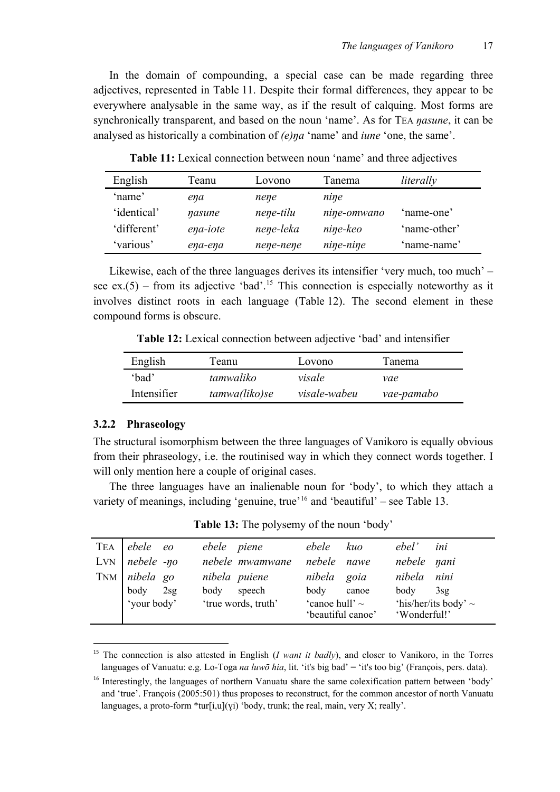In the domain of compounding, a special case can be made regarding three adjectives, represented in Table 11. Despite their formal differences, they appear to be everywhere analysable in the same way, as if the result of calquing. Most forms are synchronically transparent, and based on the noun 'name'. As for TEA *ŋasune*, it can be analysed as historically a combination of *(e)ŋa* 'name' and *iune* 'one, the same'.

| English     | Teanu    | Lovono    | Tanema      | literally    |
|-------------|----------|-----------|-------------|--------------|
| 'name'      | ena      | nene      | nine        |              |
| 'identical' | nasune   | nene-tilu | nine-omwano | 'name-one'   |
| 'different' | ena-iote | nene-leka | nine-keo    | 'name-other' |
| 'various'   | ena-ena  | nene-nene | nine-nine   | 'name-name'  |

**Table 11:** Lexical connection between noun 'name' and three adjectives

Likewise, each of the three languages derives its intensifier 'very much, too much' – see ex.(5) – from its adjective 'bad'.<sup>[15](#page-16-0)</sup> This connection is especially noteworthy as it involves distinct roots in each language (Table 12). The second element in these compound forms is obscure.

**Table 12:** Lexical connection between adjective 'bad' and intensifier

| English     | l`eanu        | Lovono       | Tanema     |
|-------------|---------------|--------------|------------|
| 'bad'       | tamwaliko     | visale       | vae        |
| Intensifier | tamwa(liko)se | visale-wabeu | vae-pamabo |

#### **3.2.2 Phraseology**

The structural isomorphism between the three languages of Vanikoro is equally obvious from their phraseology, i.e. the routinised way in which they connect words together. I will only mention here a couple of original cases.

The three languages have an inalienable noun for 'body', to which they attach a variety of meanings, including 'genuine, true'<sup>[16](#page-16-1)</sup> and 'beautiful' – see Table 13.

**Table 13:** The polysemy of the noun 'body'

| TEA ebele eo            | ebele piene         | ebele kuo           | ebel'<br>ini              |
|-------------------------|---------------------|---------------------|---------------------------|
| LVN nebele -yo          | nebele mwamwane     | nebele nawe         | nebele nani               |
| TNM nibela go           | nibela puiene       | nibela goia         | nibela nini               |
|                         | speech<br>body      | body<br>canoe       | body<br>3sg               |
| body 2sg<br>'your body' | 'true words, truth' | 'canoe hull' $\sim$ | 'his/her/its body' $\sim$ |
|                         |                     | 'beautiful canoe'   | 'Wonderful!'              |

<span id="page-16-0"></span><sup>15</sup> The connection is also attested in English (*I want it badly*), and closer to Vanikoro, in the Torres languages of Vanuatu: e.g. Lo-Toga *na luwō hia*, lit. 'it's big bad' = 'it's too big' (François, pers. data).

<span id="page-16-1"></span><sup>&</sup>lt;sup>16</sup> Interestingly, the languages of northern Vanuatu share the same colexification pattern between 'body' and 'true'. François (2005:501) thus proposes to reconstruct, for the common ancestor of north Vanuatu languages, a proto-form  $*$ tur[i,u](yi) 'body, trunk; the real, main, very X; really'.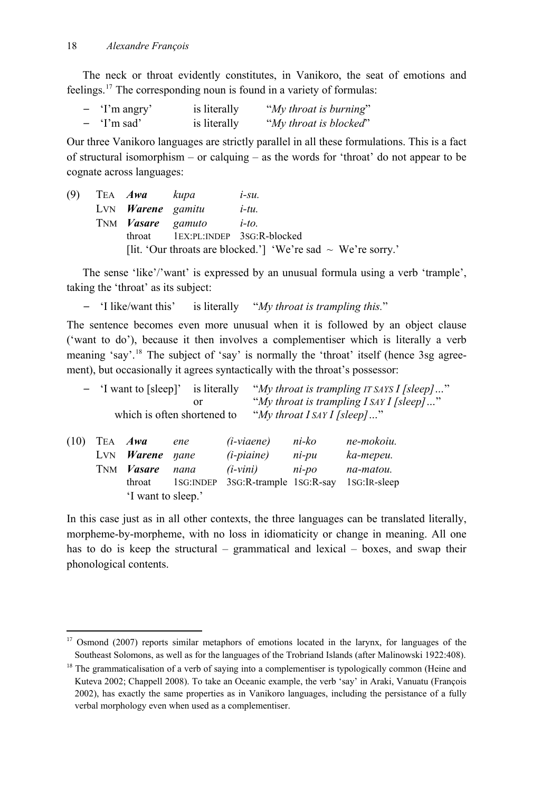-

The neck or throat evidently constitutes, in Vanikoro, the seat of emotions and feelings.[17](#page-17-0) The corresponding noun is found in a variety of formulas:

| $\overline{\phantom{0}}$ | 'I'm angry' | is literally | "My throat is burning" |
|--------------------------|-------------|--------------|------------------------|
|                          | 'I'm sad'   | is literally | "My throat is blocked" |

Our three Vanikoro languages are strictly parallel in all these formulations. This is a fact of structural isomorphism – or calquing – as the words for 'throat' do not appear to be cognate across languages:

|  | (9) TEA $Awa$ kupa              | $i$ -su.                                                          |
|--|---------------------------------|-------------------------------------------------------------------|
|  | LVN <b>Warene</b> gamitu        | $i$ -tu.                                                          |
|  | TNM <b><i>Vasare</i></b> gamuto | $i$ -to.                                                          |
|  |                                 | throat 1EX:PL:INDEP 3SG:R-blocked                                 |
|  |                                 | [lit. 'Our throats are blocked.'] 'We're sad $\sim$ We're sorry.' |

The sense 'like'/'want' is expressed by an unusual formula using a verb 'trample', taking the 'throat' as its subject:

*–* 'I like/want this' is literally "*My throat is trampling this.*"

The sentence becomes even more unusual when it is followed by an object clause ('want to do'), because it then involves a complementiser which is literally a verb meaning 'say'.<sup>[18](#page-17-1)</sup> The subject of 'say' is normally the 'throat' itself (hence 3sg agreement), but occasionally it agrees syntactically with the throat's possessor:

| 'I want to [sleep]' is literally |          | "My throat is trampling IT SAYS I [sleep]" |
|----------------------------------|----------|--------------------------------------------|
|                                  | $\alpha$ | "My throat is trampling $I$ SAY I [sleep]" |
| which is often shortened to      |          | "My throat I SAY I [sleep]"                |

| $(10)$ TEA <i>Awa</i> |                          | ene  | $(i\nu i)$                                         | ni-ko | ne-mokoiu. |
|-----------------------|--------------------------|------|----------------------------------------------------|-------|------------|
|                       | $LYN$ <i>Warene nane</i> |      | $(i$ -piaine)                                      | ni-pu | ka-mepeu.  |
|                       | TNM <i>Vasare</i>        | nana | $(i$ -vini)                                        | ni-po | na-matou.  |
|                       | throat                   |      | 1SG: INDEP 3SG: R-trample 1SG: R-say 1SG: IR-sleep |       |            |
|                       | I want to sleep.'        |      |                                                    |       |            |

In this case just as in all other contexts, the three languages can be translated literally, morpheme-by-morpheme, with no loss in idiomaticity or change in meaning. All one has to do is keep the structural – grammatical and lexical – boxes, and swap their phonological contents.

<span id="page-17-0"></span><sup>&</sup>lt;sup>17</sup> Osmond (2007) reports similar metaphors of emotions located in the larynx, for languages of the Southeast Solomons, as well as for the languages of the Trobriand Islands (after Malinowski 1922:408).

<span id="page-17-1"></span><sup>&</sup>lt;sup>18</sup> The grammaticalisation of a verb of saying into a complementiser is typologically common (Heine and Kuteva 2002; Chappell 2008). To take an Oceanic example, the verb 'say' in Araki, Vanuatu (François 2002), has exactly the same properties as in Vanikoro languages, including the persistance of a fully verbal morphology even when used as a complementiser.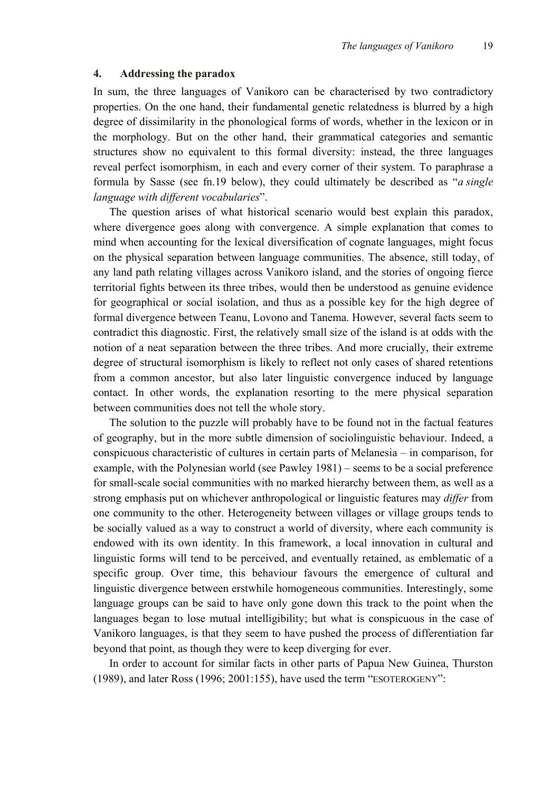#### **4. Addressing the paradox**

In sum, the three languages of Vanikoro can be characterised by two contradictory properties. On the one hand, their fundamental genetic relatedness is blurred by a high degree of dissimilarity in the phonological forms of words, whether in the lexicon or in the morphology. But on the other hand, their grammatical categories and semantic structures show no equivalent to this formal diversity: instead, the three languages reveal perfect isomorphism, in each and every corner of their system. To paraphrase a formula by Sasse (see fn.19 below), they could ultimately be described as "*a single language with different vocabularies*".

The question arises of what historical scenario would best explain this paradox, where divergence goes along with convergence. A simple explanation that comes to mind when accounting for the lexical diversification of cognate languages, might focus on the physical separation between language communities. The absence, still today, of any land path relating villages across Vanikoro island, and the stories of ongoing fierce territorial fights between its three tribes, would then be understood as genuine evidence for geographical or social isolation, and thus as a possible key for the high degree of formal divergence between Teanu, Lovono and Tanema. However, several facts seem to contradict this diagnostic. First, the relatively small size of the island is at odds with the notion of a neat separation between the three tribes. And more crucially, their extreme degree of structural isomorphism is likely to reflect not only cases of shared retentions from a common ancestor, but also later linguistic convergence induced by language contact. In other words, the explanation resorting to the mere physical separation between communities does not tell the whole story.

The solution to the puzzle will probably have to be found not in the factual features of geography, but in the more subtle dimension of sociolinguistic behaviour. Indeed, a conspicuous characteristic of cultures in certain parts of Melanesia – in comparison, for example, with the Polynesian world (see Pawley 1981) – seems to be a social preference for small-scale social communities with no marked hierarchy between them, as well as a strong emphasis put on whichever anthropological or linguistic features may *differ* from one community to the other. Heterogeneity between villages or village groups tends to be socially valued as a way to construct a world of diversity, where each community is endowed with its own identity. In this framework, a local innovation in cultural and linguistic forms will tend to be perceived, and eventually retained, as emblematic of a specific group. Over time, this behaviour favours the emergence of cultural and linguistic divergence between erstwhile homogeneous communities. Interestingly, some language groups can be said to have only gone down this track to the point when the languages began to lose mutual intelligibility; but what is conspicuous in the case of Vanikoro languages, is that they seem to have pushed the process of differentiation far beyond that point, as though they were to keep diverging for ever.

In order to account for similar facts in other parts of Papua New Guinea, Thurston (1989), and later Ross (1996; 2001:155), have used the term "ESOTEROGENY":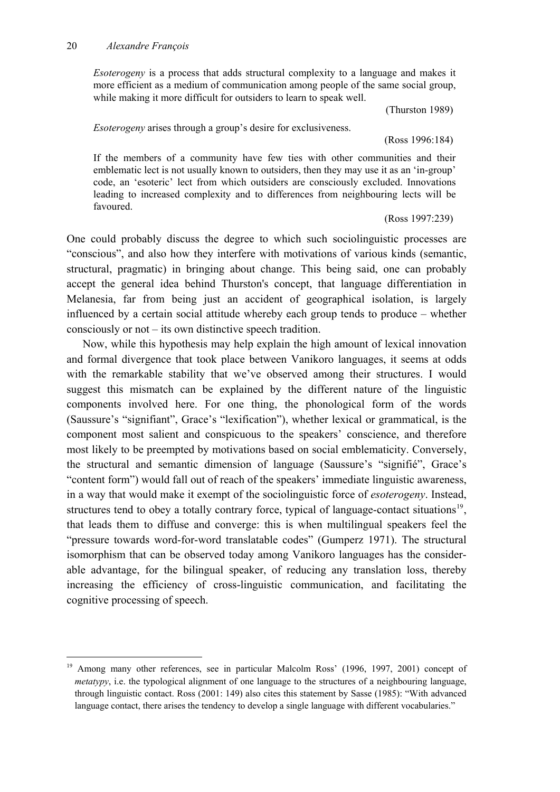#### 20 *Alexandre François*

-

*Esoterogeny* is a process that adds structural complexity to a language and makes it more efficient as a medium of communication among people of the same social group, while making it more difficult for outsiders to learn to speak well.

(Thurston 1989)

*Esoterogeny* arises through a group's desire for exclusiveness.

(Ross 1996:184)

If the members of a community have few ties with other communities and their emblematic lect is not usually known to outsiders, then they may use it as an 'in-group' code, an 'esoteric' lect from which outsiders are consciously excluded. Innovations leading to increased complexity and to differences from neighbouring lects will be favoured.

(Ross 1997:239)

One could probably discuss the degree to which such sociolinguistic processes are "conscious", and also how they interfere with motivations of various kinds (semantic, structural, pragmatic) in bringing about change. This being said, one can probably accept the general idea behind Thurston's concept, that language differentiation in Melanesia, far from being just an accident of geographical isolation, is largely influenced by a certain social attitude whereby each group tends to produce – whether consciously or not – its own distinctive speech tradition.

Now, while this hypothesis may help explain the high amount of lexical innovation and formal divergence that took place between Vanikoro languages, it seems at odds with the remarkable stability that we've observed among their structures. I would suggest this mismatch can be explained by the different nature of the linguistic components involved here. For one thing, the phonological form of the words (Saussure's "signifiant", Grace's "lexification"), whether lexical or grammatical, is the component most salient and conspicuous to the speakers' conscience, and therefore most likely to be preempted by motivations based on social emblematicity. Conversely, the structural and semantic dimension of language (Saussure's "signifié", Grace's "content form") would fall out of reach of the speakers' immediate linguistic awareness, in a way that would make it exempt of the sociolinguistic force of *esoterogeny*. Instead, structures tend to obey a totally contrary force, typical of language-contact situations<sup>[19](#page-19-0)</sup>. that leads them to diffuse and converge: this is when multilingual speakers feel the "pressure towards word-for-word translatable codes" (Gumperz 1971). The structural isomorphism that can be observed today among Vanikoro languages has the considerable advantage, for the bilingual speaker, of reducing any translation loss, thereby increasing the efficiency of cross-linguistic communication, and facilitating the cognitive processing of speech.

<span id="page-19-0"></span><sup>&</sup>lt;sup>19</sup> Among many other references, see in particular Malcolm Ross' (1996, 1997, 2001) concept of *metatypy*, i.e. the typological alignment of one language to the structures of a neighbouring language, through linguistic contact. Ross (2001: 149) also cites this statement by Sasse (1985): "With advanced language contact, there arises the tendency to develop a single language with different vocabularies."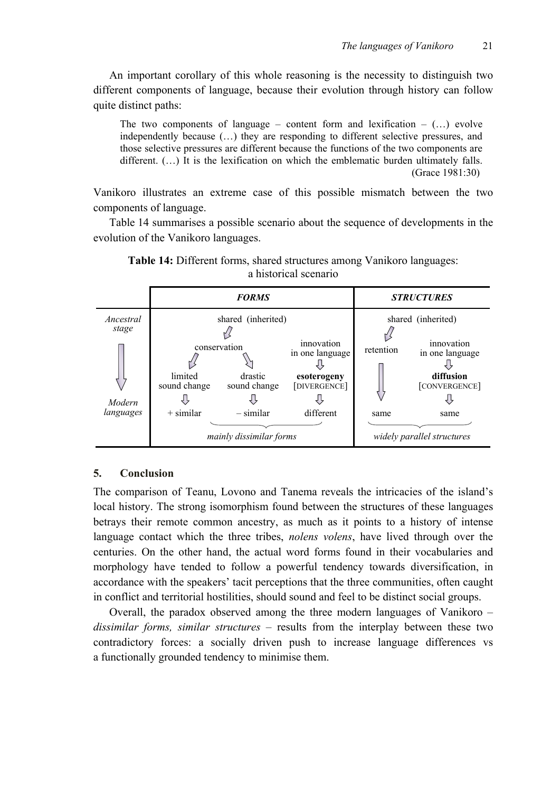An important corollary of this whole reasoning is the necessity to distinguish two different components of language, because their evolution through history can follow quite distinct paths:

The two components of language – content form and lexification –  $(...)$  evolve independently because (…) they are responding to different selective pressures, and those selective pressures are different because the functions of the two components are different.  $($ ...) It is the lexification on which the emblematic burden ultimately falls. (Grace 1981:30)

Vanikoro illustrates an extreme case of this possible mismatch between the two components of language.

Table 14 summarises a possible scenario about the sequence of developments in the evolution of the Vanikoro languages.



**Table 14:** Different forms, shared structures among Vanikoro languages: a historical scenario

## **5. Conclusion**

The comparison of Teanu, Lovono and Tanema reveals the intricacies of the island's local history. The strong isomorphism found between the structures of these languages betrays their remote common ancestry, as much as it points to a history of intense language contact which the three tribes, *nolens volens*, have lived through over the centuries. On the other hand, the actual word forms found in their vocabularies and morphology have tended to follow a powerful tendency towards diversification, in accordance with the speakers' tacit perceptions that the three communities, often caught in conflict and territorial hostilities, should sound and feel to be distinct social groups.

Overall, the paradox observed among the three modern languages of Vanikoro – *dissimilar forms, similar structures* – results from the interplay between these two contradictory forces: a socially driven push to increase language differences vs a functionally grounded tendency to minimise them.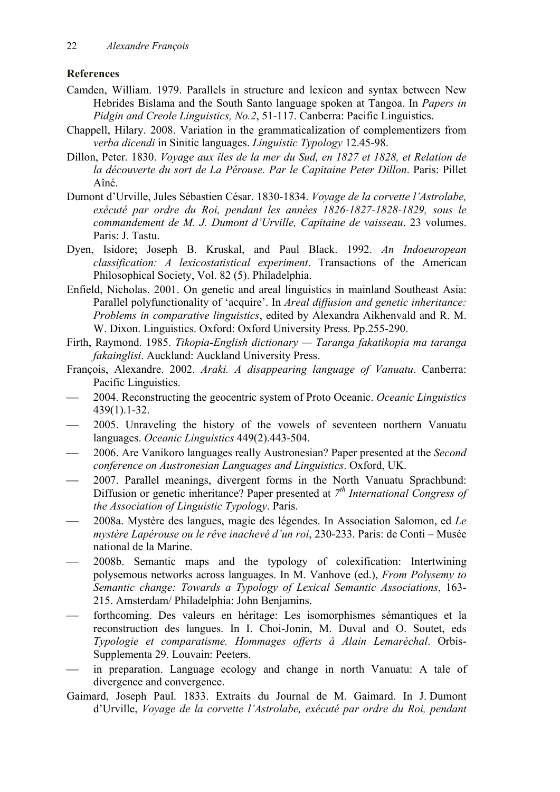# **References**

- Camden, William. 1979. Parallels in structure and lexicon and syntax between New Hebrides Bislama and the South Santo language spoken at Tangoa. In *Papers in Pidgin and Creole Linguistics, No.2*, 51-117. Canberra: Pacific Linguistics.
- Chappell, Hilary. 2008. Variation in the grammaticalization of complementizers from *verba dicendi* in Sinitic languages. *Linguistic Typology* 12.45-98.
- Dillon, Peter. 1830. *Voyage aux îles de la mer du Sud, en 1827 et 1828, et Relation de la découverte du sort de La Pérouse. Par le Capitaine Peter Dillon*. Paris: Pillet Aîné.
- Dumont d'Urville, Jules Sébastien César. 1830-1834. *Voyage de la corvette l'Astrolabe, exécuté par ordre du Roi, pendant les années 1826-1827-1828-1829, sous le commandement de M. J. Dumont d'Urville, Capitaine de vaisseau*. 23 volumes. Paris: J. Tastu.
- Dyen, Isidore; Joseph B. Kruskal, and Paul Black. 1992. *An Indoeuropean classification: A lexicostatistical experiment*. Transactions of the American Philosophical Society, Vol. 82 (5). Philadelphia.
- Enfield, Nicholas. 2001. On genetic and areal linguistics in mainland Southeast Asia: Parallel polyfunctionality of 'acquire'. In *Areal diffusion and genetic inheritance: Problems in comparative linguistics*, edited by Alexandra Aikhenvald and R. M. W. Dixon. Linguistics. Oxford: Oxford University Press. Pp.255-290.
- Firth, Raymond. 1985. *Tikopia-English dictionary Taranga fakatikopia ma taranga fakainglisi*. Auckland: Auckland University Press.
- François, Alexandre. 2002. *Araki. A disappearing language of Vanuatu*. Canberra: Pacific Linguistics.
- 2004. Reconstructing the geocentric system of Proto Oceanic. *Oceanic Linguistics* 439(1).1-32.
- 2005. Unraveling the history of the vowels of seventeen northern Vanuatu languages. *Oceanic Linguistics* 449(2).443-504.
- 2006. Are Vanikoro languages really Austronesian? Paper presented at the *Second conference on Austronesian Languages and Linguistics*. Oxford, UK.
- 2007. Parallel meanings, divergent forms in the North Vanuatu Sprachbund: Diffusion or genetic inheritance? Paper presented at *7th International Congress of the Association of Linguistic Typology*. Paris.
- 2008a. Mystère des langues, magie des légendes. In Association Salomon, ed *Le mystère Lapérouse ou le rêve inachevé d'un roi*, 230-233. Paris: de Conti – Musée national de la Marine.
- 2008b. Semantic maps and the typology of colexification: Intertwining polysemous networks across languages. In M. Vanhove (ed.), *From Polysemy to Semantic change: Towards a Typology of Lexical Semantic Associations*, 163- 215. Amsterdam/ Philadelphia: John Benjamins.
- forthcoming. Des valeurs en héritage: Les isomorphismes sémantiques et la reconstruction des langues. In I. Choi-Jonin, M. Duval and O. Soutet, eds *Typologie et comparatisme. Hommages offerts à Alain Lemaréchal*. Orbis-Supplementa 29. Louvain: Peeters.
- in preparation. Language ecology and change in north Vanuatu: A tale of divergence and convergence.
- Gaimard, Joseph Paul. 1833. Extraits du Journal de M. Gaimard. In J. Dumont d'Urville, *Voyage de la corvette l'Astrolabe, exécuté par ordre du Roi, pendant*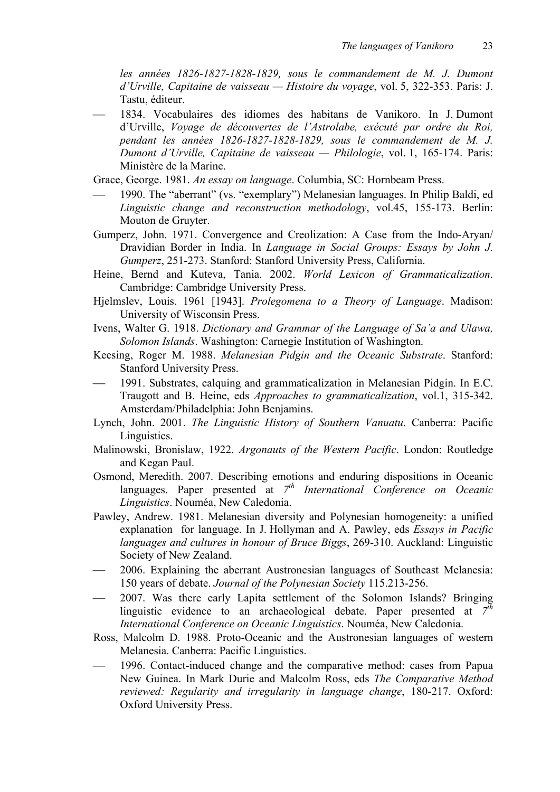*les années 1826-1827-1828-1829, sous le commandement de M. J. Dumont d'Urville, Capitaine de vaisseau — Histoire du voyage*, vol. 5, 322-353. Paris: J. Tastu, éditeur.

 1834. Vocabulaires des idiomes des habitans de Vanikoro. In J. Dumont d'Urville, *Voyage de découvertes de l'Astrolabe, exécuté par ordre du Roi, pendant les années 1826-1827-1828-1829, sous le commandement de M. J. Dumont d'Urville, Capitaine de vaisseau — Philologie*, vol. 1, 165-174. Paris: Ministère de la Marine.

Grace, George. 1981. *An essay on language*. Columbia, SC: Hornbeam Press.

- 1990. The "aberrant" (vs. "exemplary") Melanesian languages. In Philip Baldi, ed *Linguistic change and reconstruction methodology*, vol.45, 155-173. Berlin: Mouton de Gruyter.
- Gumperz, John. 1971. Convergence and Creolization: A Case from the Indo-Aryan/ Dravidian Border in India. In *Language in Social Groups: Essays by John J. Gumperz*, 251-273. Stanford: Stanford University Press, California.
- Heine, Bernd and Kuteva, Tania. 2002. *World Lexicon of Grammaticalization*. Cambridge: Cambridge University Press.
- Hjelmslev, Louis. 1961 [1943]. *Prolegomena to a Theory of Language*. Madison: University of Wisconsin Press.
- Ivens, Walter G. 1918. *Dictionary and Grammar of the Language of Sa'a and Ulawa, Solomon Islands*. Washington: Carnegie Institution of Washington.
- Keesing, Roger M. 1988. *Melanesian Pidgin and the Oceanic Substrate*. Stanford: Stanford University Press.
- 1991. Substrates, calquing and grammaticalization in Melanesian Pidgin. In E.C. Traugott and B. Heine, eds *Approaches to grammaticalization*, vol.1, 315-342. Amsterdam/Philadelphia: John Benjamins.
- Lynch, John. 2001. *The Linguistic History of Southern Vanuatu*. Canberra: Pacific Linguistics.
- Malinowski, Bronislaw, 1922. *Argonauts of the Western Pacific*. London: Routledge and Kegan Paul.
- Osmond, Meredith. 2007. Describing emotions and enduring dispositions in Oceanic languages. Paper presented at 7<sup>th</sup> International Conference on Oceanic *Linguistics*. Nouméa, New Caledonia.
- Pawley, Andrew. 1981. Melanesian diversity and Polynesian homogeneity: a unified explanation for language. In J. Hollyman and A. Pawley, eds *Essays in Pacific languages and cultures in honour of Bruce Biggs*, 269-310. Auckland: Linguistic Society of New Zealand.
- 2006. Explaining the aberrant Austronesian languages of Southeast Melanesia: 150 years of debate. *Journal of the Polynesian Society* 115.213-256.
- 2007. Was there early Lapita settlement of the Solomon Islands? Bringing linguistic evidence to an archaeological debate. Paper presented at *7th International Conference on Oceanic Linguistics*. Nouméa, New Caledonia.
- Ross, Malcolm D. 1988. Proto-Oceanic and the Austronesian languages of western Melanesia. Canberra: Pacific Linguistics.
- 1996. Contact-induced change and the comparative method: cases from Papua New Guinea. In Mark Durie and Malcolm Ross, eds *The Comparative Method reviewed: Regularity and irregularity in language change*, 180-217. Oxford: Oxford University Press.